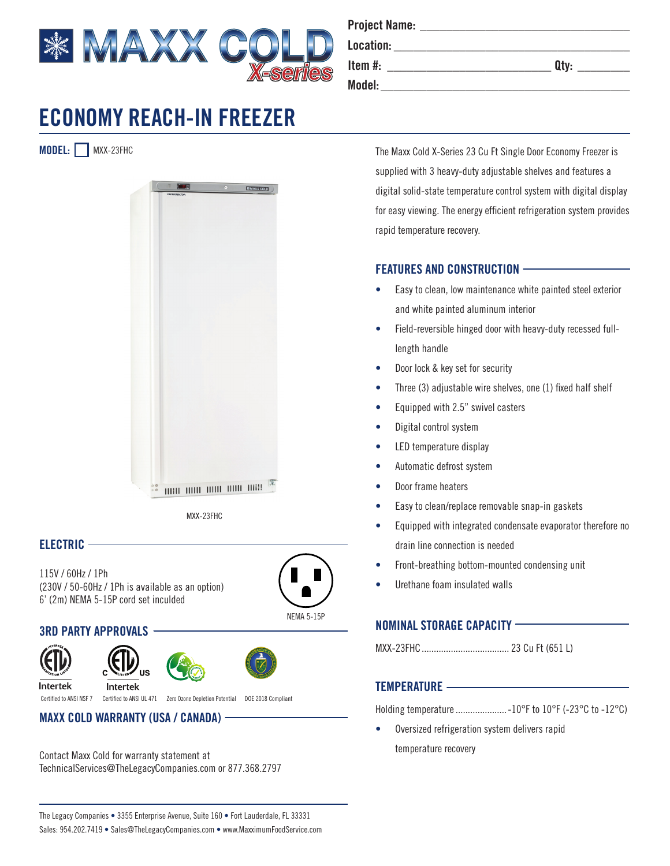

**MODEL:** MXX-23FHC



MXX-23FHC

## **ELECTRIC**

115V / 60Hz / 1Ph (230V / 50-60Hz / 1Ph is available as an option) 6' (2m) NEMA 5-15P cord set inculded



## **3RD PARTY APPROVALS**





Intertek

Intertek Certified to ANSI NSF 7 Certified to ANSI UL 471 Zero Ozone Depletion Potential DOE 2018 Compliant

# **MAXX COLD WARRANTY (USA / CANADA)**

Contact Maxx Cold for warranty statement at TechnicalServices@TheLegacyCompanies.com or 877.368.2797

| <b>Project Name:</b> |      |
|----------------------|------|
| Location:            |      |
| Item $#$ :           | Qty: |
| Model:               |      |

The Maxx Cold X-Series 23 Cu Ft Single Door Economy Freezer is supplied with 3 heavy-duty adjustable shelves and features a digital solid-state temperature control system with digital display for easy viewing. The energy efficient refrigeration system provides rapid temperature recovery.

## **FEATURES AND CONSTRUCTION**

- Easy to clean, low maintenance white painted steel exterior and white painted aluminum interior
- Field-reversible hinged door with heavy-duty recessed fulllength handle
- Door lock & key set for security
- Three (3) adjustable wire shelves, one (1) fixed half shelf
- Equipped with 2.5" swivel casters
- Digital control system
- LED temperature display
- Automatic defrost system
- Door frame heaters
- Easy to clean/replace removable snap-in gaskets
- Equipped with integrated condensate evaporator therefore no drain line connection is needed
- Front-breathing bottom-mounted condensing unit
- Urethane foam insulated walls

## **NOMINAL STORAGE CAPACITY**

MXX-23FHC.................................... 23 Cu Ft (651 L)

#### **TEMPERATURE**

Holding temperature .....................-10°F to 10°F (-23°C to -12°C)

• Oversized refrigeration system delivers rapid temperature recovery

The Legacy Companies • 3355 Enterprise Avenue, Suite 160 • Fort Lauderdale, FL 33331 Sales: 954.202.7419 • Sales@TheLegacyCompanies.com • www.MaxximumFoodService.com